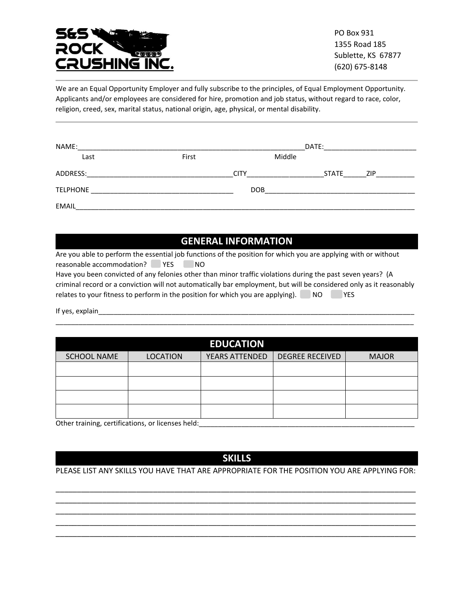

PO Box 931 1355 Road 185 Sublette, KS 67877 (620) 675-8148

We are an Equal Opportunity Employer and fully subscribe to the principles, of Equal Employment Opportunity. Applicants and/or employees are considered for hire, promotion and job status, without regard to race, color, religion, creed, sex, marital status, national origin, age, physical, or mental disability.

| NAME:           |       | DATE:       |              |            |
|-----------------|-------|-------------|--------------|------------|
| Last            | First | Middle      |              |            |
| ADDRESS:        |       | <b>CITY</b> | <b>STATE</b> | <b>ZIP</b> |
| <b>TELPHONE</b> |       | <b>DOB</b>  |              |            |
| <b>EMAIL</b>    |       |             |              |            |

## **GENERAL INFORMATION**

Are you able to perform the essential job functions of the position for which you are applying with or without reasonable accommodation? YES NO Have you been convicted of any felonies other than minor traffic violations during the past seven years? (A criminal record or a conviction will not automatically bar employment, but will be considered only as it reasonably

relates to your fitness to perform in the position for which you are applying). NO YES

If yes, explain

| <b>EDUCATION</b>                                                                                                                                                                                                                |                 |                       |                        |              |  |
|---------------------------------------------------------------------------------------------------------------------------------------------------------------------------------------------------------------------------------|-----------------|-----------------------|------------------------|--------------|--|
| <b>SCHOOL NAME</b>                                                                                                                                                                                                              | <b>LOCATION</b> | <b>YEARS ATTENDED</b> | <b>DEGREE RECEIVED</b> | <b>MAJOR</b> |  |
|                                                                                                                                                                                                                                 |                 |                       |                        |              |  |
|                                                                                                                                                                                                                                 |                 |                       |                        |              |  |
|                                                                                                                                                                                                                                 |                 |                       |                        |              |  |
|                                                                                                                                                                                                                                 |                 |                       |                        |              |  |
| $\sim$ . The set of the set of the set of the set of the set of the set of the set of the set of the set of the set of the set of the set of the set of the set of the set of the set of the set of the set of the set of the s |                 |                       |                        |              |  |

\_\_\_\_\_\_\_\_\_\_\_\_\_\_\_\_\_\_\_\_\_\_\_\_\_\_\_\_\_\_\_\_\_\_\_\_\_\_\_\_\_\_\_\_\_\_\_\_\_\_\_\_\_\_\_\_\_\_\_\_\_\_\_\_\_\_\_\_\_\_\_\_\_\_\_\_\_\_\_\_\_\_\_\_\_\_\_\_\_\_\_\_\_

Other training, certifications, or licenses held: \_\_\_\_\_\_\_\_\_\_\_\_\_\_\_\_\_\_\_\_\_\_\_\_\_\_\_\_\_\_

## **SKILLS**

## PLEASE LIST ANY SKILLS YOU HAVE THAT ARE APPROPRIATE FOR THE POSITION YOU ARE APPLYING FOR:

\_\_\_\_\_\_\_\_\_\_\_\_\_\_\_\_\_\_\_\_\_\_\_\_\_\_\_\_\_\_\_\_\_\_\_\_\_\_\_\_\_\_\_\_\_\_\_\_\_\_\_\_\_\_\_\_\_\_\_\_\_\_\_\_\_\_\_\_\_\_\_\_\_\_\_\_\_\_\_\_\_\_\_\_\_ \_\_\_\_\_\_\_\_\_\_\_\_\_\_\_\_\_\_\_\_\_\_\_\_\_\_\_\_\_\_\_\_\_\_\_\_\_\_\_\_\_\_\_\_\_\_\_\_\_\_\_\_\_\_\_\_\_\_\_\_\_\_\_\_\_\_\_\_\_\_\_\_\_\_\_\_\_\_\_\_\_\_\_\_\_ \_\_\_\_\_\_\_\_\_\_\_\_\_\_\_\_\_\_\_\_\_\_\_\_\_\_\_\_\_\_\_\_\_\_\_\_\_\_\_\_\_\_\_\_\_\_\_\_\_\_\_\_\_\_\_\_\_\_\_\_\_\_\_\_\_\_\_\_\_\_\_\_\_\_\_\_\_\_\_\_\_\_\_\_\_ \_\_\_\_\_\_\_\_\_\_\_\_\_\_\_\_\_\_\_\_\_\_\_\_\_\_\_\_\_\_\_\_\_\_\_\_\_\_\_\_\_\_\_\_\_\_\_\_\_\_\_\_\_\_\_\_\_\_\_\_\_\_\_\_\_\_\_\_\_\_\_\_\_\_\_\_\_\_\_\_\_\_\_\_\_ \_\_\_\_\_\_\_\_\_\_\_\_\_\_\_\_\_\_\_\_\_\_\_\_\_\_\_\_\_\_\_\_\_\_\_\_\_\_\_\_\_\_\_\_\_\_\_\_\_\_\_\_\_\_\_\_\_\_\_\_\_\_\_\_\_\_\_\_\_\_\_\_\_\_\_\_\_\_\_\_\_\_\_\_\_